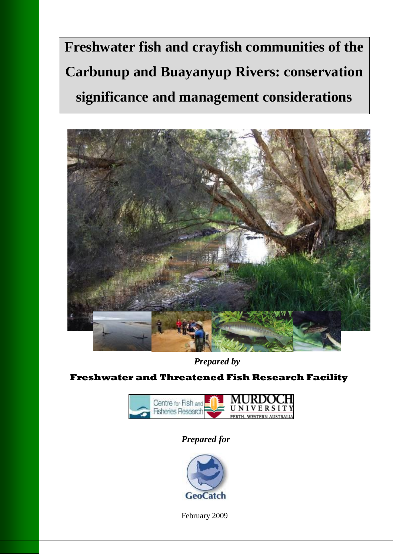# **Freshwater fish and crayfish communities of the Carbunup and Buayanyup Rivers: conservation significance and management considerations**



*Prepared by*

**Freshwater and Threatened Fish Research Facility**



### *Prepared for*



February 2009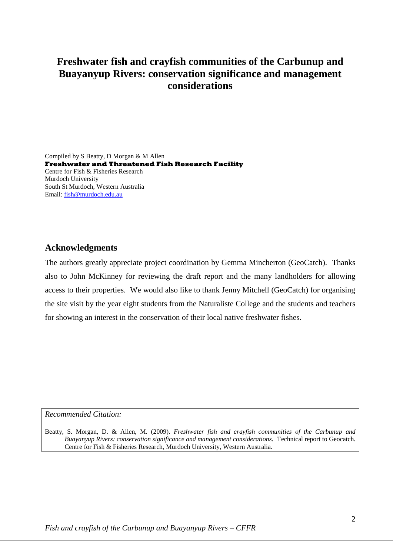### **Freshwater fish and crayfish communities of the Carbunup and Buayanyup Rivers: conservation significance and management considerations**

Compiled by S Beatty, D Morgan & M Allen **Freshwater and Threatened Fish Research Facility** Centre for Fish & Fisheries Research Murdoch University South St Murdoch, Western Australia Email: [fish@murdoch.edu.au](mailto:fish@murdoch.edu.au)

#### **Acknowledgments**

The authors greatly appreciate project coordination by Gemma Mincherton (GeoCatch). Thanks also to John McKinney for reviewing the draft report and the many landholders for allowing access to their properties. We would also like to thank Jenny Mitchell (GeoCatch) for organising the site visit by the year eight students from the Naturaliste College and the students and teachers for showing an interest in the conservation of their local native freshwater fishes.

*Recommended Citation:*

Beatty, S. Morgan, D. & Allen, M. (2009). *Freshwater fish and crayfish communities of the Carbunup and Buayanyup Rivers: conservation significance and management considerations.* Technical report to Geocatch. Centre for Fish & Fisheries Research, Murdoch University, Western Australia.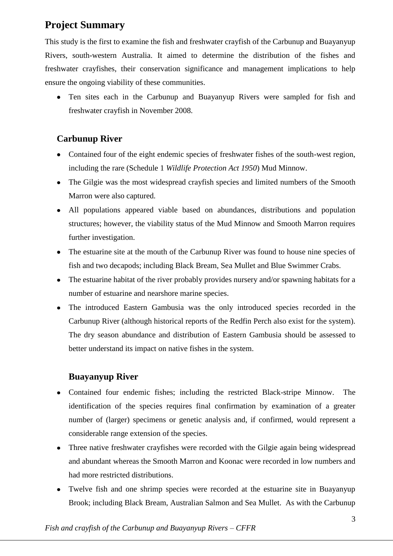### **Project Summary**

This study is the first to examine the fish and freshwater crayfish of the Carbunup and Buayanyup Rivers, south-western Australia. It aimed to determine the distribution of the fishes and freshwater crayfishes, their conservation significance and management implications to help ensure the ongoing viability of these communities.

Ten sites each in the Carbunup and Buayanyup Rivers were sampled for fish and freshwater crayfish in November 2008.

### **Carbunup River**

- Contained four of the eight endemic species of freshwater fishes of the south-west region, including the rare (Schedule 1 *Wildlife Protection Act 1950*) Mud Minnow.
- The Gilgie was the most widespread crayfish species and limited numbers of the Smooth  $\bullet$ Marron were also captured.
- All populations appeared viable based on abundances, distributions and population structures; however, the viability status of the Mud Minnow and Smooth Marron requires further investigation.
- The estuarine site at the mouth of the Carbunup River was found to house nine species of fish and two decapods; including Black Bream, Sea Mullet and Blue Swimmer Crabs.
- The estuarine habitat of the river probably provides nursery and/or spawning habitats for a  $\bullet$ number of estuarine and nearshore marine species.
- The introduced Eastern Gambusia was the only introduced species recorded in the  $\bullet$ Carbunup River (although historical reports of the Redfin Perch also exist for the system). The dry season abundance and distribution of Eastern Gambusia should be assessed to better understand its impact on native fishes in the system.

### **Buayanyup River**

- Contained four endemic fishes; including the restricted Black-stripe Minnow. The identification of the species requires final confirmation by examination of a greater number of (larger) specimens or genetic analysis and, if confirmed, would represent a considerable range extension of the species.
- Three native freshwater crayfishes were recorded with the Gilgie again being widespread  $\bullet$ and abundant whereas the Smooth Marron and Koonac were recorded in low numbers and had more restricted distributions.
- Twelve fish and one shrimp species were recorded at the estuarine site in Buayanyup Brook; including Black Bream, Australian Salmon and Sea Mullet. As with the Carbunup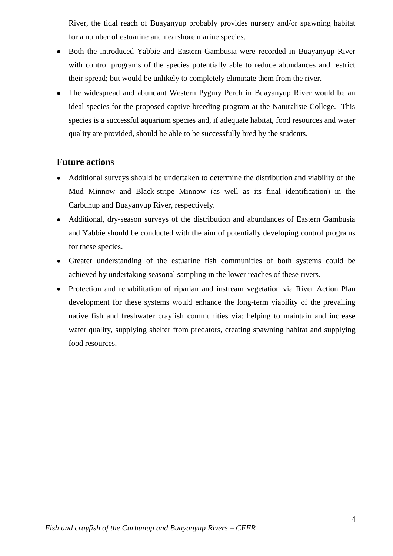River, the tidal reach of Buayanyup probably provides nursery and/or spawning habitat for a number of estuarine and nearshore marine species.

- Both the introduced Yabbie and Eastern Gambusia were recorded in Buayanyup River with control programs of the species potentially able to reduce abundances and restrict their spread; but would be unlikely to completely eliminate them from the river.
- The widespread and abundant Western Pygmy Perch in Buayanyup River would be an ideal species for the proposed captive breeding program at the Naturaliste College. This species is a successful aquarium species and, if adequate habitat, food resources and water quality are provided, should be able to be successfully bred by the students.

### **Future actions**

- Additional surveys should be undertaken to determine the distribution and viability of the Mud Minnow and Black-stripe Minnow (as well as its final identification) in the Carbunup and Buayanyup River, respectively.
- Additional, dry-season surveys of the distribution and abundances of Eastern Gambusia and Yabbie should be conducted with the aim of potentially developing control programs for these species.
- Greater understanding of the estuarine fish communities of both systems could be achieved by undertaking seasonal sampling in the lower reaches of these rivers.
- Protection and rehabilitation of riparian and instream vegetation via River Action Plan development for these systems would enhance the long-term viability of the prevailing native fish and freshwater crayfish communities via: helping to maintain and increase water quality, supplying shelter from predators, creating spawning habitat and supplying food resources.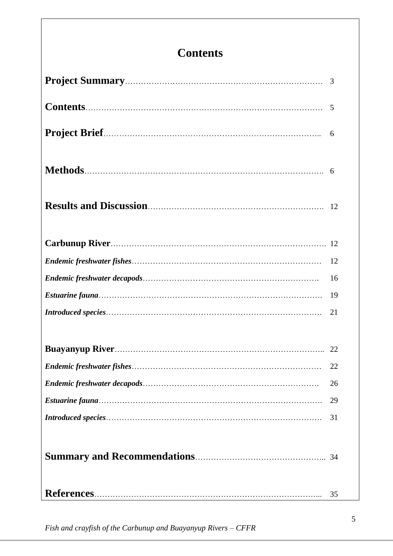## **Contents**

| 6  |
|----|
|    |
|    |
|    |
| 12 |
| 16 |
| 19 |
| 21 |
|    |
| 22 |
| 26 |
| 29 |
| 31 |
|    |
| 35 |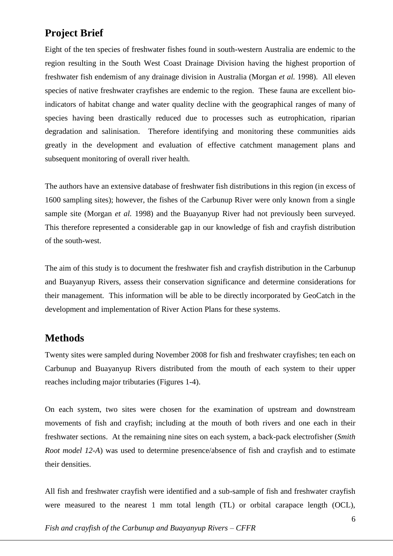### **Project Brief**

Eight of the ten species of freshwater fishes found in south-western Australia are endemic to the region resulting in the South West Coast Drainage Division having the highest proportion of freshwater fish endemism of any drainage division in Australia (Morgan *et al.* 1998). All eleven species of native freshwater crayfishes are endemic to the region. These fauna are excellent bioindicators of habitat change and water quality decline with the geographical ranges of many of species having been drastically reduced due to processes such as eutrophication, riparian degradation and salinisation. Therefore identifying and monitoring these communities aids greatly in the development and evaluation of effective catchment management plans and subsequent monitoring of overall river health.

The authors have an extensive database of freshwater fish distributions in this region (in excess of 1600 sampling sites); however, the fishes of the Carbunup River were only known from a single sample site (Morgan *et al.* 1998) and the Buayanyup River had not previously been surveyed. This therefore represented a considerable gap in our knowledge of fish and crayfish distribution of the south-west.

The aim of this study is to document the freshwater fish and crayfish distribution in the Carbunup and Buayanyup Rivers, assess their conservation significance and determine considerations for their management. This information will be able to be directly incorporated by GeoCatch in the development and implementation of River Action Plans for these systems.

### **Methods**

Twenty sites were sampled during November 2008 for fish and freshwater crayfishes; ten each on Carbunup and Buayanyup Rivers distributed from the mouth of each system to their upper reaches including major tributaries (Figures 1-4).

On each system, two sites were chosen for the examination of upstream and downstream movements of fish and crayfish; including at the mouth of both rivers and one each in their freshwater sections. At the remaining nine sites on each system, a back-pack electrofisher (*Smith Root model 12-A*) was used to determine presence/absence of fish and crayfish and to estimate their densities.

All fish and freshwater crayfish were identified and a sub-sample of fish and freshwater crayfish were measured to the nearest 1 mm total length (TL) or orbital carapace length (OCL),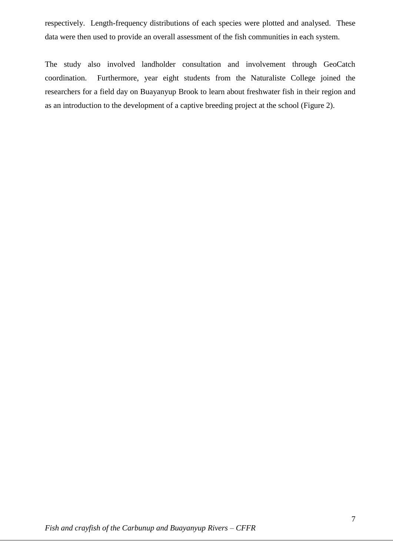respectively. Length-frequency distributions of each species were plotted and analysed. These data were then used to provide an overall assessment of the fish communities in each system.

The study also involved landholder consultation and involvement through GeoCatch coordination. Furthermore, year eight students from the Naturaliste College joined the researchers for a field day on Buayanyup Brook to learn about freshwater fish in their region and as an introduction to the development of a captive breeding project at the school (Figure 2).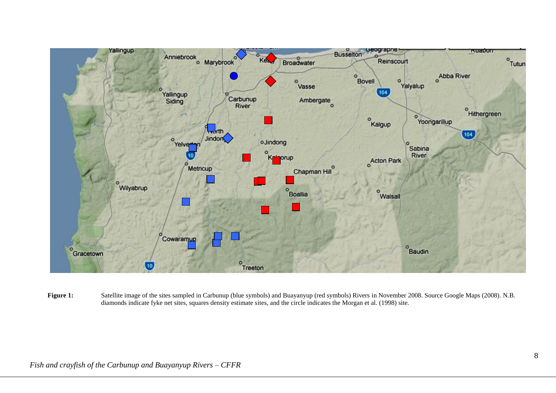

Figure 1: Satellite image of the sites sampled in Carbunup (blue symbols) and Buayanyup (red symbols) Rivers in November 2008. Source Google Maps (2008). N.B. diamonds indicate fyke net sites, squares density estimate sites, and the circle indicates the Morgan et al. (1998) site.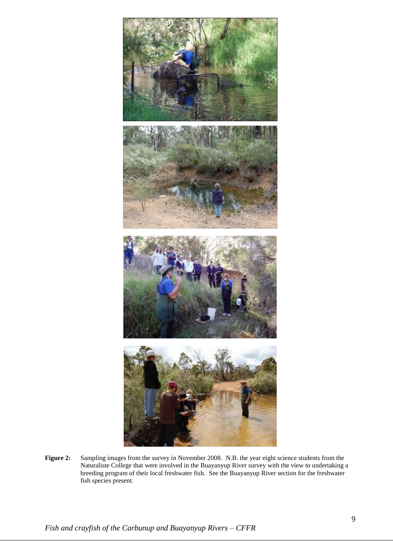

**Figure 2:** Sampling images from the survey in November 2008. N.B. the year eight science students from the Naturaliste College that were involved in the Buayanyup River survey with the view to undertaking a breeding program of their local freshwater fish. See the Buayanyup River section for the freshwater fish species present.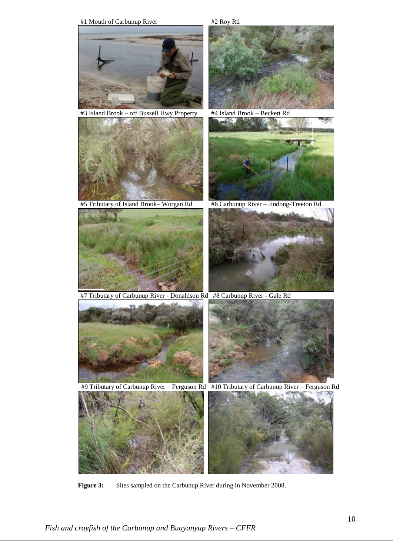

**Figure 3:** Sites sampled on the Carbunup River during in November 2008.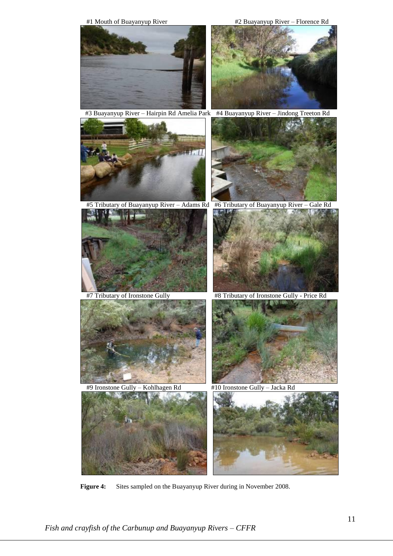

#3 Buayanyup River – Hairpin Rd Amelia Park #4 Buayanyup River – Jindong Treeton Rd

漢方小門





#5 Tributary of Buayanyup River – Adams Rd #6 Tributary of Buayanyup River – Gale Rd





#9 Ironstone Gully – Kohlhagen Rd #10 Ironstone Gully – Jacka Rd





**Figure 4:** Sites sampled on the Buayanyup River during in November 2008.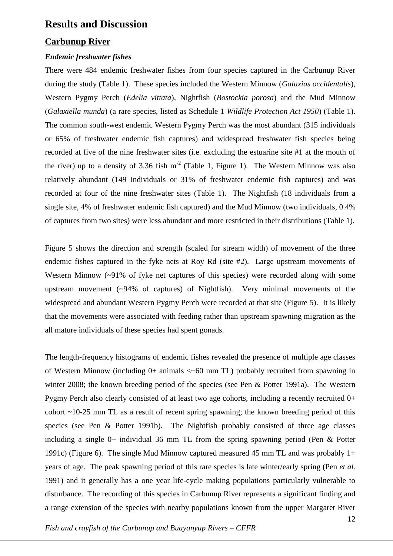### **Results and Discussion**

#### **Carbunup River**

#### *Endemic freshwater fishes*

There were 484 endemic freshwater fishes from four species captured in the Carbunup River during the study (Table 1). These species included the Western Minnow (*Galaxias occidentalis*), Western Pygmy Perch (*Edelia vittata*), Nightfish (*Bostockia porosa*) and the Mud Minnow (*Galaxiella munda*) (a rare species, listed as Schedule 1 *Wildlife Protection Act 1950*) (Table 1). The common south-west endemic Western Pygmy Perch was the most abundant (315 individuals or 65% of freshwater endemic fish captures) and widespread freshwater fish species being recorded at five of the nine freshwater sites (i.e. excluding the estuarine site #1 at the mouth of the river) up to a density of 3.36 fish  $m<sup>-2</sup>$  (Table 1, Figure 1). The Western Minnow was also relatively abundant (149 individuals or 31% of freshwater endemic fish captures) and was recorded at four of the nine freshwater sites (Table 1). The Nightfish (18 individuals from a single site, 4% of freshwater endemic fish captured) and the Mud Minnow (two individuals, 0.4% of captures from two sites) were less abundant and more restricted in their distributions (Table 1).

Figure 5 shows the direction and strength (scaled for stream width) of movement of the three endemic fishes captured in the fyke nets at Roy Rd (site #2). Large upstream movements of Western Minnow (~91% of fyke net captures of this species) were recorded along with some upstream movement (~94% of captures) of Nightfish). Very minimal movements of the widespread and abundant Western Pygmy Perch were recorded at that site (Figure 5). It is likely that the movements were associated with feeding rather than upstream spawning migration as the all mature individuals of these species had spent gonads.

The length-frequency histograms of endemic fishes revealed the presence of multiple age classes of Western Minnow (including 0+ animals <~60 mm TL) probably recruited from spawning in winter 2008; the known breeding period of the species (see Pen & Potter 1991a). The Western Pygmy Perch also clearly consisted of at least two age cohorts, including a recently recruited 0+ cohort ~10-25 mm TL as a result of recent spring spawning; the known breeding period of this species (see Pen & Potter 1991b). The Nightfish probably consisted of three age classes including a single  $0+$  individual 36 mm TL from the spring spawning period (Pen & Potter 1991c) (Figure 6). The single Mud Minnow captured measured 45 mm TL and was probably 1+ years of age. The peak spawning period of this rare species is late winter/early spring (Pen *et al.*  1991) and it generally has a one year life-cycle making populations particularly vulnerable to disturbance. The recording of this species in Carbunup River represents a significant finding and a range extension of the species with nearby populations known from the upper Margaret River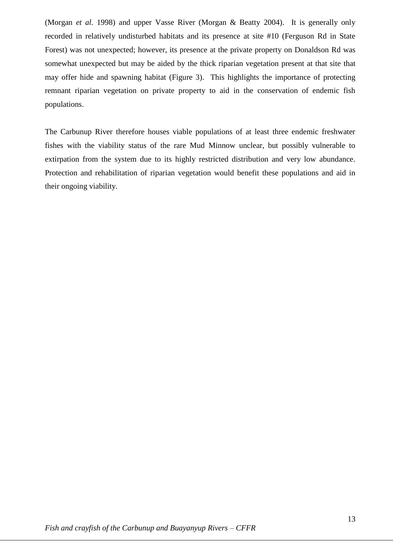(Morgan *et al.* 1998) and upper Vasse River (Morgan & Beatty 2004). It is generally only recorded in relatively undisturbed habitats and its presence at site #10 (Ferguson Rd in State Forest) was not unexpected; however, its presence at the private property on Donaldson Rd was somewhat unexpected but may be aided by the thick riparian vegetation present at that site that may offer hide and spawning habitat (Figure 3). This highlights the importance of protecting remnant riparian vegetation on private property to aid in the conservation of endemic fish populations.

The Carbunup River therefore houses viable populations of at least three endemic freshwater fishes with the viability status of the rare Mud Minnow unclear, but possibly vulnerable to extirpation from the system due to its highly restricted distribution and very low abundance. Protection and rehabilitation of riparian vegetation would benefit these populations and aid in their ongoing viability.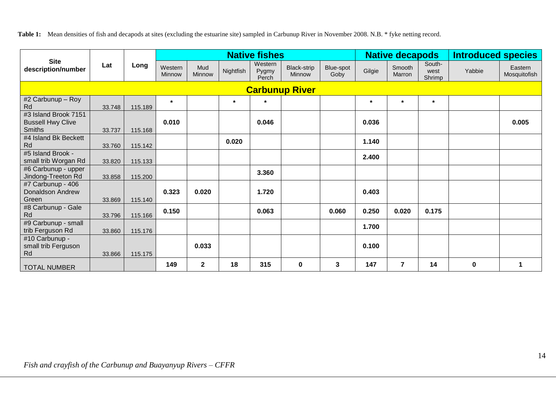**Table 1:** Mean densities of fish and decapods at sites (excluding the estuarine site) sampled in Carbunup River in November 2008. N.B. \* fyke netting record.

|                                                                   | Lat    | Long    | <b>Native fishes</b>     |               |           |                           |                              |                   |         | <b>Native decapods</b> |                          | <b>Introduced species</b> |                         |
|-------------------------------------------------------------------|--------|---------|--------------------------|---------------|-----------|---------------------------|------------------------------|-------------------|---------|------------------------|--------------------------|---------------------------|-------------------------|
| <b>Site</b><br>description/number                                 |        |         | Western<br><b>Minnow</b> | Mud<br>Minnow | Nightfish | Western<br>Pygmy<br>Perch | <b>Black-strip</b><br>Minnow | Blue-spot<br>Goby | Gilgie  | Smooth<br>Marron       | South-<br>west<br>Shrimp | Yabbie                    | Eastern<br>Mosquitofish |
| <b>Carbunup River</b>                                             |        |         |                          |               |           |                           |                              |                   |         |                        |                          |                           |                         |
| #2 Carbunup - Roy<br>Rd                                           | 33.748 | 115.189 | $\star$                  |               | $\star$   | $\star$                   |                              |                   | $\star$ | $\star$                | $\star$                  |                           |                         |
| #3 Island Brook 7151<br><b>Bussell Hwy Clive</b><br><b>Smiths</b> | 33.737 | 115.168 | 0.010                    |               |           | 0.046                     |                              |                   | 0.036   |                        |                          |                           | 0.005                   |
| #4 Island Bk Beckett<br>Rd                                        | 33.760 | 115.142 |                          |               | 0.020     |                           |                              |                   | 1.140   |                        |                          |                           |                         |
| #5 Island Brook -<br>small trib Worgan Rd                         | 33.820 | 115.133 |                          |               |           |                           |                              |                   | 2.400   |                        |                          |                           |                         |
| #6 Carbunup - upper<br>Jindong-Treeton Rd                         | 33.858 | 115.200 |                          |               |           | 3.360                     |                              |                   |         |                        |                          |                           |                         |
| #7 Carbunup - 406<br>Donaldson Andrew<br>Green                    | 33.869 | 115.140 | 0.323                    | 0.020         |           | 1.720                     |                              |                   | 0.403   |                        |                          |                           |                         |
| #8 Carbunup - Gale<br>Rd                                          | 33.796 | 115.166 | 0.150                    |               |           | 0.063                     |                              | 0.060             | 0.250   | 0.020                  | 0.175                    |                           |                         |
| #9 Carbunup - small<br>trib Ferguson Rd                           | 33.860 | 115.176 |                          |               |           |                           |                              |                   | 1.700   |                        |                          |                           |                         |
| #10 Carbunup -<br>small trib Ferguson<br>Rd                       | 33.866 | 115.175 |                          | 0.033         |           |                           |                              |                   | 0.100   |                        |                          |                           |                         |
| <b>TOTAL NUMBER</b>                                               |        |         | 149                      | $\mathbf{2}$  | 18        | 315                       | $\mathbf 0$                  | 3                 | 147     | $\overline{7}$         | 14                       | 0                         | $\mathbf 1$             |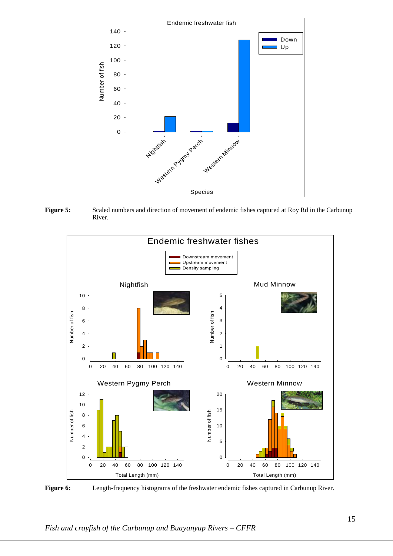

Figure 5: Scaled numbers and direction of movement of endemic fishes captured at Roy Rd in the Carbunup River.



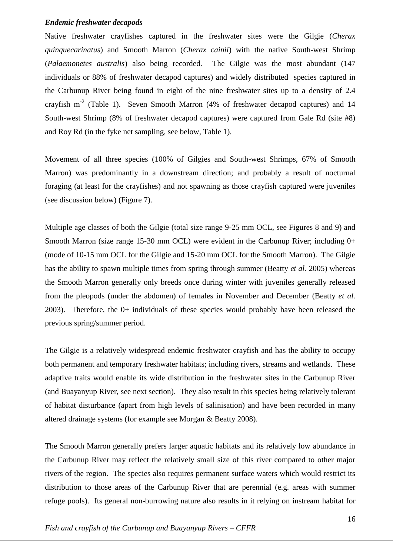#### *Endemic freshwater decapods*

Native freshwater crayfishes captured in the freshwater sites were the Gilgie (*Cherax quinquecarinatus*) and Smooth Marron (*Cherax cainii*) with the native South-west Shrimp (*Palaemonetes australis*) also being recorded. The Gilgie was the most abundant (147 individuals or 88% of freshwater decapod captures) and widely distributed species captured in the Carbunup River being found in eight of the nine freshwater sites up to a density of 2.4 crayfish  $m<sup>-2</sup>$  (Table 1). Seven Smooth Marron (4% of freshwater decapod captures) and 14 South-west Shrimp (8% of freshwater decapod captures) were captured from Gale Rd (site #8) and Roy Rd (in the fyke net sampling, see below, Table 1).

Movement of all three species (100% of Gilgies and South-west Shrimps, 67% of Smooth Marron) was predominantly in a downstream direction; and probably a result of nocturnal foraging (at least for the crayfishes) and not spawning as those crayfish captured were juveniles (see discussion below) (Figure 7).

Multiple age classes of both the Gilgie (total size range 9-25 mm OCL, see Figures 8 and 9) and Smooth Marron (size range 15-30 mm OCL) were evident in the Carbunup River; including 0+ (mode of 10-15 mm OCL for the Gilgie and 15-20 mm OCL for the Smooth Marron). The Gilgie has the ability to spawn multiple times from spring through summer (Beatty *et al.* 2005) whereas the Smooth Marron generally only breeds once during winter with juveniles generally released from the pleopods (under the abdomen) of females in November and December (Beatty *et al.* 2003). Therefore, the 0+ individuals of these species would probably have been released the previous spring/summer period.

The Gilgie is a relatively widespread endemic freshwater crayfish and has the ability to occupy both permanent and temporary freshwater habitats; including rivers, streams and wetlands. These adaptive traits would enable its wide distribution in the freshwater sites in the Carbunup River (and Buayanyup River, see next section). They also result in this species being relatively tolerant of habitat disturbance (apart from high levels of salinisation) and have been recorded in many altered drainage systems (for example see Morgan & Beatty 2008).

The Smooth Marron generally prefers larger aquatic habitats and its relatively low abundance in the Carbunup River may reflect the relatively small size of this river compared to other major rivers of the region. The species also requires permanent surface waters which would restrict its distribution to those areas of the Carbunup River that are perennial (e.g. areas with summer refuge pools). Its general non-burrowing nature also results in it relying on instream habitat for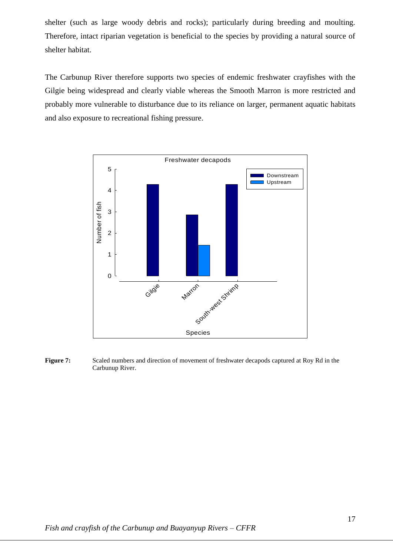shelter (such as large woody debris and rocks); particularly during breeding and moulting. Therefore, intact riparian vegetation is beneficial to the species by providing a natural source of shelter habitat.

The Carbunup River therefore supports two species of endemic freshwater crayfishes with the Gilgie being widespread and clearly viable whereas the Smooth Marron is more restricted and probably more vulnerable to disturbance due to its reliance on larger, permanent aquatic habitats and also exposure to recreational fishing pressure.



**Figure 7:** Scaled numbers and direction of movement of freshwater decapods captured at Roy Rd in the Carbunup River.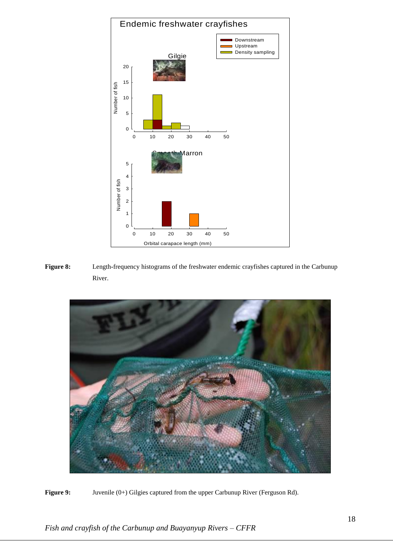

**Figure 8:** Length-frequency histograms of the freshwater endemic crayfishes captured in the Carbunup River.



Figure 9: Juvenile (0+) Gilgies captured from the upper Carbunup River (Ferguson Rd).

*Fish and crayfish of the Carbunup and Buayanyup Rivers – CFFR*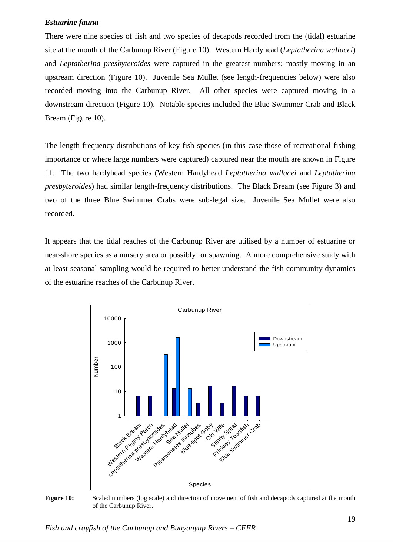#### *Estuarine fauna*

There were nine species of fish and two species of decapods recorded from the (tidal) estuarine site at the mouth of the Carbunup River (Figure 10). Western Hardyhead (*Leptatherina wallacei*) and *Leptatherina presbyteroides* were captured in the greatest numbers; mostly moving in an upstream direction (Figure 10). Juvenile Sea Mullet (see length-frequencies below) were also recorded moving into the Carbunup River. All other species were captured moving in a downstream direction (Figure 10). Notable species included the Blue Swimmer Crab and Black Bream (Figure 10).

The length-frequency distributions of key fish species (in this case those of recreational fishing importance or where large numbers were captured) captured near the mouth are shown in Figure 11. The two hardyhead species (Western Hardyhead *Leptatherina wallacei* and *Leptatherina presbyteroides*) had similar length-frequency distributions. The Black Bream (see Figure 3) and two of the three Blue Swimmer Crabs were sub-legal size. Juvenile Sea Mullet were also recorded.

It appears that the tidal reaches of the Carbunup River are utilised by a number of estuarine or near-shore species as a nursery area or possibly for spawning. A more comprehensive study with at least seasonal sampling would be required to better understand the fish community dynamics of the estuarine reaches of the Carbunup River.



**Figure 10:** Scaled numbers (log scale) and direction of movement of fish and decapods captured at the mouth of the Carbunup River.

*Fish and crayfish of the Carbunup and Buayanyup Rivers – CFFR*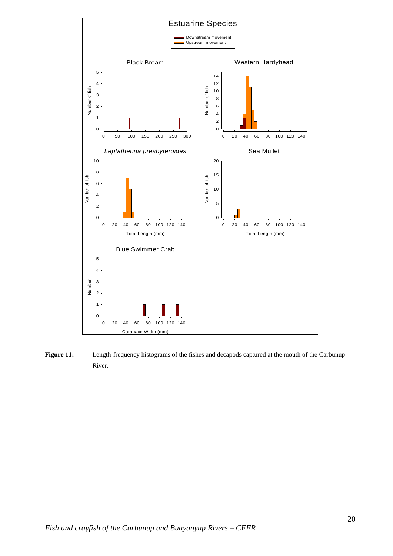

**Figure 11:** Length-frequency histograms of the fishes and decapods captured at the mouth of the Carbunup River.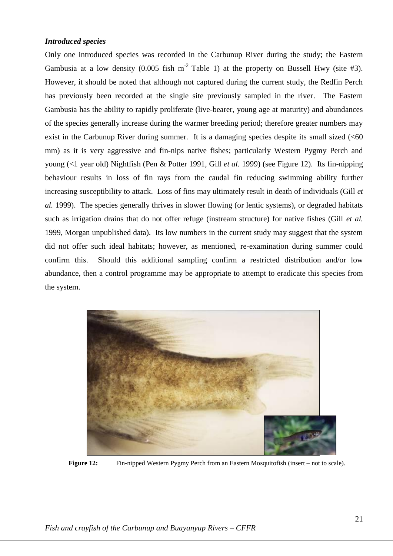#### *Introduced species*

Only one introduced species was recorded in the Carbunup River during the study; the Eastern Gambusia at a low density  $(0.005 \text{ fish m}^{-2} \text{ Table 1})$  at the property on Bussell Hwy (site #3). However, it should be noted that although not captured during the current study, the Redfin Perch has previously been recorded at the single site previously sampled in the river. The Eastern Gambusia has the ability to rapidly proliferate (live-bearer, young age at maturity) and abundances of the species generally increase during the warmer breeding period; therefore greater numbers may exist in the Carbunup River during summer. It is a damaging species despite its small sized  $( $60$$ mm) as it is very aggressive and fin-nips native fishes; particularly Western Pygmy Perch and young (<1 year old) Nightfish (Pen & Potter 1991, Gill *et al.* 1999) (see Figure 12). Its fin-nipping behaviour results in loss of fin rays from the caudal fin reducing swimming ability further increasing susceptibility to attack. Loss of fins may ultimately result in death of individuals (Gill *et al.* 1999). The species generally thrives in slower flowing (or lentic systems), or degraded habitats such as irrigation drains that do not offer refuge (instream structure) for native fishes (Gill *et al.*  1999, Morgan unpublished data). Its low numbers in the current study may suggest that the system did not offer such ideal habitats; however, as mentioned, re-examination during summer could confirm this. Should this additional sampling confirm a restricted distribution and/or low abundance, then a control programme may be appropriate to attempt to eradicate this species from the system.



**Figure 12:** Fin-nipped Western Pygmy Perch from an Eastern Mosquitofish (insert – not to scale).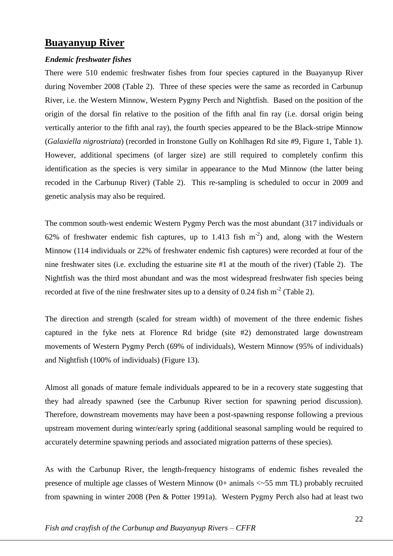### **Buayanyup River**

#### *Endemic freshwater fishes*

There were 510 endemic freshwater fishes from four species captured in the Buayanyup River during November 2008 (Table 2). Three of these species were the same as recorded in Carbunup River, i.e. the Western Minnow, Western Pygmy Perch and Nightfish. Based on the position of the origin of the dorsal fin relative to the position of the fifth anal fin ray (i.e. dorsal origin being vertically anterior to the fifth anal ray), the fourth species appeared to be the Black-stripe Minnow (*Galaxiella nigrostriata*) (recorded in Ironstone Gully on Kohlhagen Rd site #9, Figure 1, Table 1). However, additional specimens (of larger size) are still required to completely confirm this identification as the species is very similar in appearance to the Mud Minnow (the latter being recoded in the Carbunup River) (Table 2). This re-sampling is scheduled to occur in 2009 and genetic analysis may also be required.

The common south-west endemic Western Pygmy Perch was the most abundant (317 individuals or 62% of freshwater endemic fish captures, up to 1.413 fish  $m^{-2}$ ) and, along with the Western Minnow (114 individuals or 22% of freshwater endemic fish captures) were recorded at four of the nine freshwater sites (i.e. excluding the estuarine site #1 at the mouth of the river) (Table 2). The Nightfish was the third most abundant and was the most widespread freshwater fish species being recorded at five of the nine freshwater sites up to a density of 0.24 fish  $m<sup>-2</sup>$  (Table 2).

The direction and strength (scaled for stream width) of movement of the three endemic fishes captured in the fyke nets at Florence Rd bridge (site #2) demonstrated large downstream movements of Western Pygmy Perch (69% of individuals), Western Minnow (95% of individuals) and Nightfish (100% of individuals) (Figure 13).

Almost all gonads of mature female individuals appeared to be in a recovery state suggesting that they had already spawned (see the Carbunup River section for spawning period discussion). Therefore, downstream movements may have been a post-spawning response following a previous upstream movement during winter/early spring (additional seasonal sampling would be required to accurately determine spawning periods and associated migration patterns of these species).

As with the Carbunup River, the length-frequency histograms of endemic fishes revealed the presence of multiple age classes of Western Minnow (0+ animals <~55 mm TL) probably recruited from spawning in winter 2008 (Pen & Potter 1991a). Western Pygmy Perch also had at least two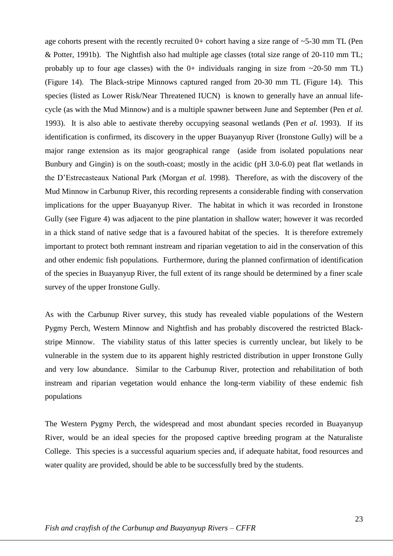age cohorts present with the recently recruited  $0+$  cohort having a size range of  $\sim$  5-30 mm TL (Pen & Potter, 1991b). The Nightfish also had multiple age classes (total size range of 20-110 mm TL; probably up to four age classes) with the  $0+$  individuals ranging in size from  $\sim$ 20-50 mm TL) (Figure 14). The Black-stripe Minnows captured ranged from 20-30 mm TL (Figure 14). This species (listed as Lower Risk/Near Threatened IUCN) is known to generally have an annual lifecycle (as with the Mud Minnow) and is a multiple spawner between June and September (Pen *et al.*  1993). It is also able to aestivate thereby occupying seasonal wetlands (Pen *et al.* 1993). If its identification is confirmed, its discovery in the upper Buayanyup River (Ironstone Gully) will be a major range extension as its major geographical range (aside from isolated populations near Bunbury and Gingin) is on the south-coast; mostly in the acidic (pH 3.0-6.0) peat flat wetlands in the D'Estrecasteaux National Park (Morgan *et al.* 1998). Therefore, as with the discovery of the Mud Minnow in Carbunup River, this recording represents a considerable finding with conservation implications for the upper Buayanyup River. The habitat in which it was recorded in Ironstone Gully (see Figure 4) was adjacent to the pine plantation in shallow water; however it was recorded in a thick stand of native sedge that is a favoured habitat of the species. It is therefore extremely important to protect both remnant instream and riparian vegetation to aid in the conservation of this and other endemic fish populations. Furthermore, during the planned confirmation of identification of the species in Buayanyup River, the full extent of its range should be determined by a finer scale survey of the upper Ironstone Gully.

As with the Carbunup River survey, this study has revealed viable populations of the Western Pygmy Perch, Western Minnow and Nightfish and has probably discovered the restricted Blackstripe Minnow. The viability status of this latter species is currently unclear, but likely to be vulnerable in the system due to its apparent highly restricted distribution in upper Ironstone Gully and very low abundance. Similar to the Carbunup River, protection and rehabilitation of both instream and riparian vegetation would enhance the long-term viability of these endemic fish populations

The Western Pygmy Perch, the widespread and most abundant species recorded in Buayanyup River, would be an ideal species for the proposed captive breeding program at the Naturaliste College. This species is a successful aquarium species and, if adequate habitat, food resources and water quality are provided, should be able to be successfully bred by the students.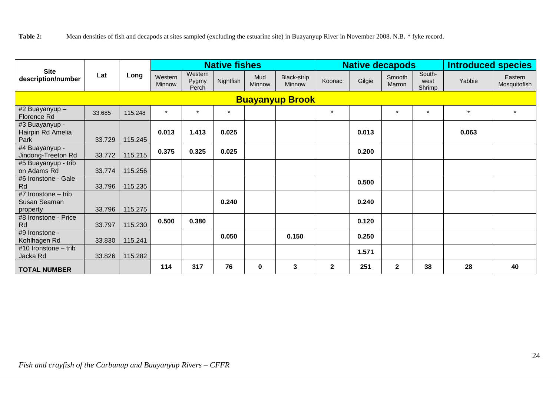|                                                   | Lat    | Long    | <b>Native fishes</b> |                           |           |               |                              | <b>Native decapods</b> |        |                  |                          | <b>Introduced species</b> |                         |  |
|---------------------------------------------------|--------|---------|----------------------|---------------------------|-----------|---------------|------------------------------|------------------------|--------|------------------|--------------------------|---------------------------|-------------------------|--|
| <b>Site</b><br>description/number                 |        |         | Western<br>Minnow    | Western<br>Pygmy<br>Perch | Nightfish | Mud<br>Minnow | Black-strip<br><b>Minnow</b> | Koonac                 | Gilgie | Smooth<br>Marron | South-<br>west<br>Shrimp | Yabbie                    | Eastern<br>Mosquitofish |  |
| <b>Buayanyup Brook</b>                            |        |         |                      |                           |           |               |                              |                        |        |                  |                          |                           |                         |  |
| #2 Buayanyup -<br>Florence Rd                     | 33.685 | 115.248 | $\star$              | $\star$                   | $\star$   |               |                              | $\star$                |        | $\star$          | $\star$                  | $\star$                   |                         |  |
| #3 Buayanyup -<br>Hairpin Rd Amelia<br>Park       | 33.729 | 115.245 | 0.013                | 1.413                     | 0.025     |               |                              |                        | 0.013  |                  |                          | 0.063                     |                         |  |
| #4 Buayanyup -<br>Jindong-Treeton Rd              | 33.772 | 115.215 | 0.375                | 0.325                     | 0.025     |               |                              |                        | 0.200  |                  |                          |                           |                         |  |
| #5 Buayanyup - trib<br>on Adams Rd                | 33.774 | 115.256 |                      |                           |           |               |                              |                        |        |                  |                          |                           |                         |  |
| #6 Ironstone - Gale<br>Rd                         | 33.796 | 115.235 |                      |                           |           |               |                              |                        | 0.500  |                  |                          |                           |                         |  |
| #7 Ironstone $-$ trib<br>Susan Seaman<br>property | 33.796 | 115.275 |                      |                           | 0.240     |               |                              |                        | 0.240  |                  |                          |                           |                         |  |
| #8 Ironstone - Price<br>Rd                        | 33.797 | 115.230 | 0.500                | 0.380                     |           |               |                              |                        | 0.120  |                  |                          |                           |                         |  |
| #9 Ironstone -<br>Kohlhagen Rd                    | 33.830 | 115.241 |                      |                           | 0.050     |               | 0.150                        |                        | 0.250  |                  |                          |                           |                         |  |
| #10 Ironstone - trib<br>Jacka Rd                  | 33.826 | 115.282 |                      |                           |           |               |                              |                        | 1.571  |                  |                          |                           |                         |  |
| <b>TOTAL NUMBER</b>                               |        |         | 114                  | 317                       | 76        | 0             | 3                            | $\mathbf{2}$           | 251    | $\mathbf{2}$     | 38                       | 28                        | 40                      |  |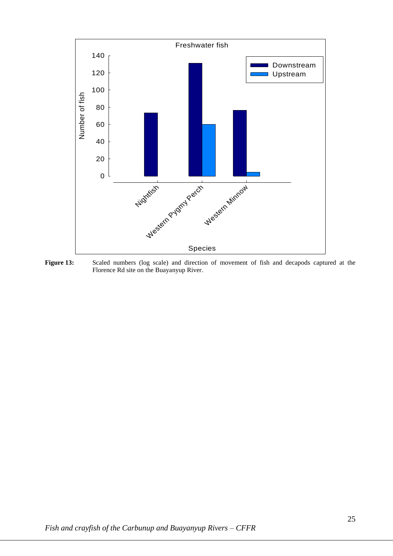

**Figure 13:** Scaled numbers (log scale) and direction of movement of fish and decapods captured at the Florence Rd site on the Buayanyup River.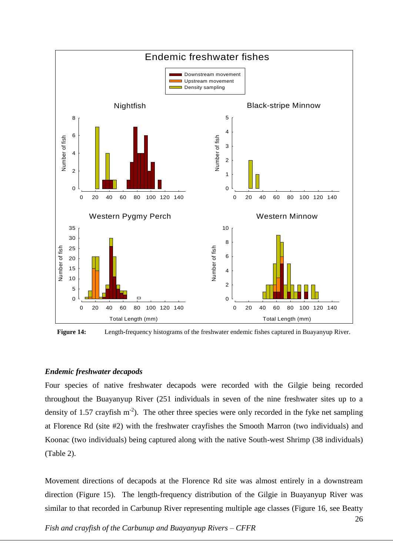

**Figure 14:** Length**-**frequency histograms of the freshwater endemic fishes captured in Buayanyup River.

#### *Endemic freshwater decapods*

Four species of native freshwater decapods were recorded with the Gilgie being recorded throughout the Buayanyup River (251 individuals in seven of the nine freshwater sites up to a density of 1.57 crayfish  $m<sup>2</sup>$ ). The other three species were only recorded in the fyke net sampling at Florence Rd (site #2) with the freshwater crayfishes the Smooth Marron (two individuals) and Koonac (two individuals) being captured along with the native South-west Shrimp (38 individuals) (Table 2).

Movement directions of decapods at the Florence Rd site was almost entirely in a downstream direction (Figure 15). The length-frequency distribution of the Gilgie in Buayanyup River was similar to that recorded in Carbunup River representing multiple age classes (Figure 16, see Beatty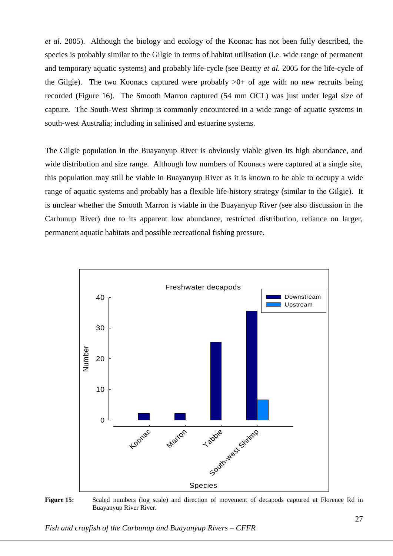*et al.* 2005). Although the biology and ecology of the Koonac has not been fully described, the species is probably similar to the Gilgie in terms of habitat utilisation (i.e. wide range of permanent and temporary aquatic systems) and probably life-cycle (see Beatty *et al.* 2005 for the life-cycle of the Gilgie). The two Koonacs captured were probably  $>0+$  of age with no new recruits being recorded (Figure 16). The Smooth Marron captured (54 mm OCL) was just under legal size of capture. The South-West Shrimp is commonly encountered in a wide range of aquatic systems in south-west Australia; including in salinised and estuarine systems.

The Gilgie population in the Buayanyup River is obviously viable given its high abundance, and wide distribution and size range. Although low numbers of Koonacs were captured at a single site, this population may still be viable in Buayanyup River as it is known to be able to occupy a wide range of aquatic systems and probably has a flexible life-history strategy (similar to the Gilgie). It is unclear whether the Smooth Marron is viable in the Buayanyup River (see also discussion in the Carbunup River) due to its apparent low abundance, restricted distribution, reliance on larger, permanent aquatic habitats and possible recreational fishing pressure.



**Figure 15:** Scaled numbers (log scale) and direction of movement of decapods captured at Florence Rd in Buayanyup River River.

*Fish and crayfish of the Carbunup and Buayanyup Rivers – CFFR*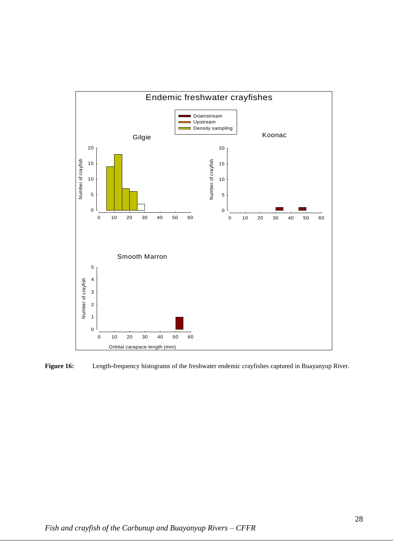

**Figure 16:** Length**-**frequency histograms of the freshwater endemic crayfishes captured in Buayanyup River.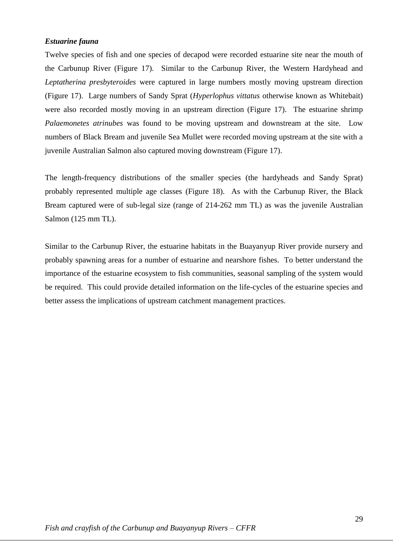#### *Estuarine fauna*

Twelve species of fish and one species of decapod were recorded estuarine site near the mouth of the Carbunup River (Figure 17). Similar to the Carbunup River, the Western Hardyhead and *Leptatherina presbyteroides* were captured in large numbers mostly moving upstream direction (Figure 17). Large numbers of Sandy Sprat (*Hyperlophus vittatus* otherwise known as Whitebait) were also recorded mostly moving in an upstream direction (Figure 17). The estuarine shrimp *Palaemonetes atrinubes* was found to be moving upstream and downstream at the site. Low numbers of Black Bream and juvenile Sea Mullet were recorded moving upstream at the site with a juvenile Australian Salmon also captured moving downstream (Figure 17).

The length-frequency distributions of the smaller species (the hardyheads and Sandy Sprat) probably represented multiple age classes (Figure 18). As with the Carbunup River, the Black Bream captured were of sub-legal size (range of 214-262 mm TL) as was the juvenile Australian Salmon (125 mm TL).

Similar to the Carbunup River, the estuarine habitats in the Buayanyup River provide nursery and probably spawning areas for a number of estuarine and nearshore fishes. To better understand the importance of the estuarine ecosystem to fish communities, seasonal sampling of the system would be required. This could provide detailed information on the life-cycles of the estuarine species and better assess the implications of upstream catchment management practices.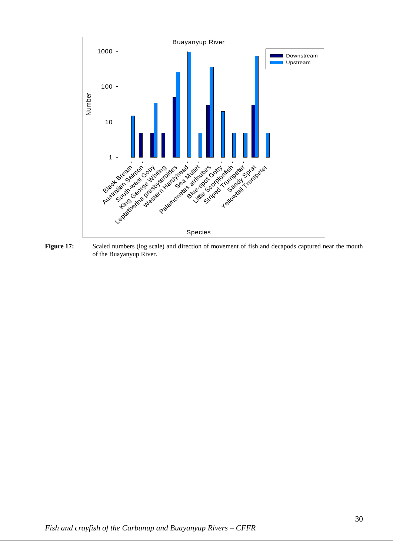

Figure 17: Scaled numbers (log scale) and direction of movement of fish and decapods captured near the mouth of the Buayanyup River.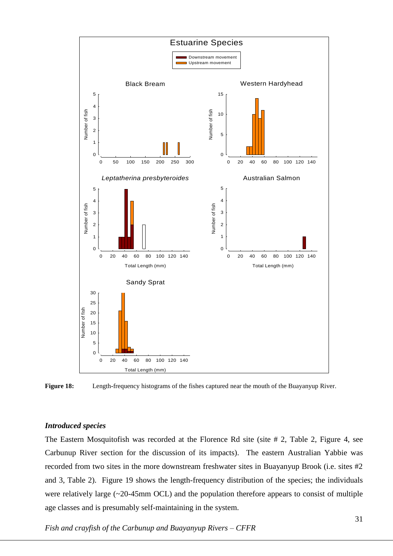

**Figure 18:** Length**-**frequency histograms of the fishes captured near the mouth of the Buayanyup River.

#### *Introduced species*

The Eastern Mosquitofish was recorded at the Florence Rd site (site # 2, Table 2, Figure 4, see Carbunup River section for the discussion of its impacts). The eastern Australian Yabbie was recorded from two sites in the more downstream freshwater sites in Buayanyup Brook (i.e. sites #2 and 3, Table 2). Figure 19 shows the length-frequency distribution of the species; the individuals were relatively large (~20-45mm OCL) and the population therefore appears to consist of multiple age classes and is presumably self-maintaining in the system.

*Fish and crayfish of the Carbunup and Buayanyup Rivers – CFFR*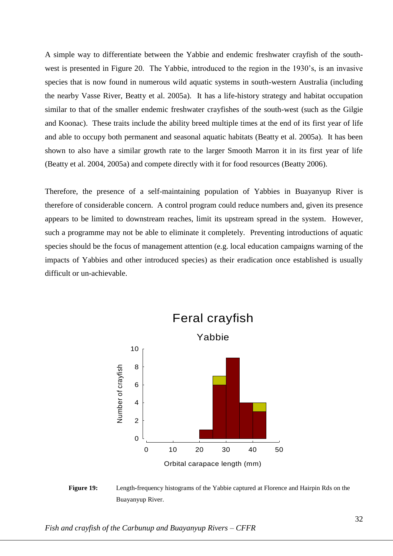A simple way to differentiate between the Yabbie and endemic freshwater crayfish of the southwest is presented in Figure 20. The Yabbie, introduced to the region in the 1930's, is an invasive species that is now found in numerous wild aquatic systems in south-western Australia (including the nearby Vasse River, Beatty et al. 2005a). It has a life-history strategy and habitat occupation similar to that of the smaller endemic freshwater crayfishes of the south-west (such as the Gilgie and Koonac). These traits include the ability breed multiple times at the end of its first year of life and able to occupy both permanent and seasonal aquatic habitats (Beatty et al. 2005a). It has been shown to also have a similar growth rate to the larger Smooth Marron it in its first year of life (Beatty et al. 2004, 2005a) and compete directly with it for food resources (Beatty 2006).

Therefore, the presence of a self-maintaining population of Yabbies in Buayanyup River is therefore of considerable concern. A control program could reduce numbers and, given its presence appears to be limited to downstream reaches, limit its upstream spread in the system. However, such a programme may not be able to eliminate it completely. Preventing introductions of aquatic species should be the focus of management attention (e.g. local education campaigns warning of the impacts of Yabbies and other introduced species) as their eradication once established is usually difficult or un-achievable.



**Figure 19:** Length-frequency histograms of the Yabbie captured at Florence and Hairpin Rds on the Buayanyup River.

*Fish and crayfish of the Carbunup and Buayanyup Rivers – CFFR*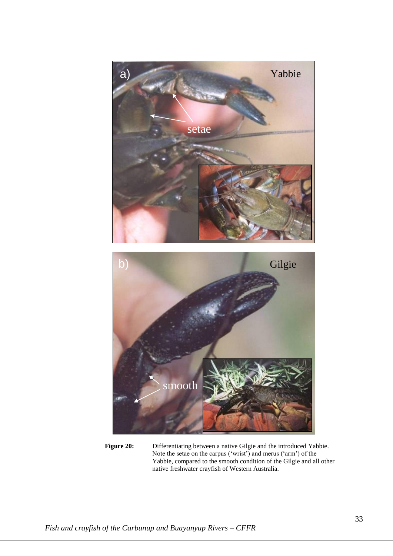

**Figure 20:** Differentiating between a native Gilgie and the introduced Yabbie. Note the setae on the carpus ('wrist') and merus ('arm') of the Yabbie, compared to the smooth condition of the Gilgie and all other native freshwater crayfish of Western Australia.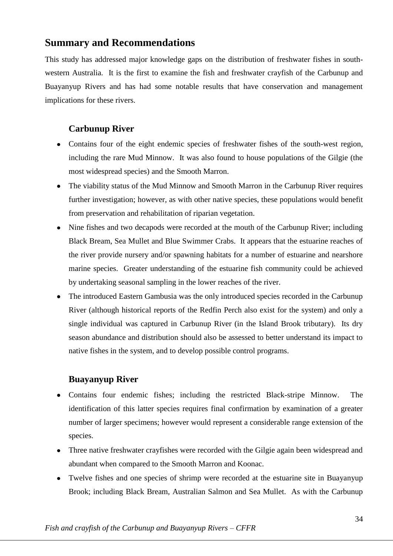### **Summary and Recommendations**

This study has addressed major knowledge gaps on the distribution of freshwater fishes in southwestern Australia. It is the first to examine the fish and freshwater crayfish of the Carbunup and Buayanyup Rivers and has had some notable results that have conservation and management implications for these rivers.

### **Carbunup River**

- Contains four of the eight endemic species of freshwater fishes of the south-west region, including the rare Mud Minnow. It was also found to house populations of the Gilgie (the most widespread species) and the Smooth Marron.
- The viability status of the Mud Minnow and Smooth Marron in the Carbunup River requires further investigation; however, as with other native species, these populations would benefit from preservation and rehabilitation of riparian vegetation.
- Nine fishes and two decapods were recorded at the mouth of the Carbunup River; including Black Bream, Sea Mullet and Blue Swimmer Crabs. It appears that the estuarine reaches of the river provide nursery and/or spawning habitats for a number of estuarine and nearshore marine species. Greater understanding of the estuarine fish community could be achieved by undertaking seasonal sampling in the lower reaches of the river.
- The introduced Eastern Gambusia was the only introduced species recorded in the Carbunup River (although historical reports of the Redfin Perch also exist for the system) and only a single individual was captured in Carbunup River (in the Island Brook tributary). Its dry season abundance and distribution should also be assessed to better understand its impact to native fishes in the system, and to develop possible control programs.

### **Buayanyup River**

- Contains four endemic fishes; including the restricted Black-stripe Minnow. The identification of this latter species requires final confirmation by examination of a greater number of larger specimens; however would represent a considerable range extension of the species.
- Three native freshwater crayfishes were recorded with the Gilgie again been widespread and abundant when compared to the Smooth Marron and Koonac.
- Twelve fishes and one species of shrimp were recorded at the estuarine site in Buayanyup Brook; including Black Bream, Australian Salmon and Sea Mullet. As with the Carbunup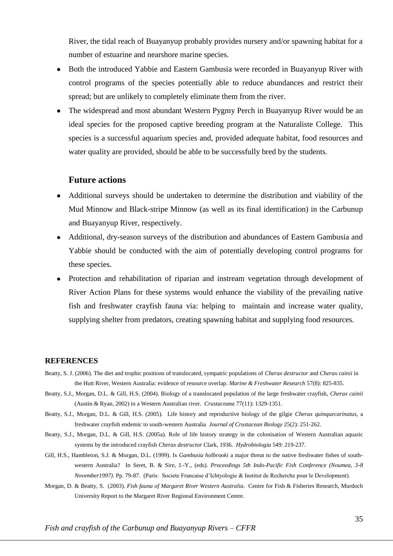River, the tidal reach of Buayanyup probably provides nursery and/or spawning habitat for a number of estuarine and nearshore marine species.

- Both the introduced Yabbie and Eastern Gambusia were recorded in Buayanyup River with control programs of the species potentially able to reduce abundances and restrict their spread; but are unlikely to completely eliminate them from the river.
- The widespread and most abundant Western Pygmy Perch in Buayanyup River would be an ideal species for the proposed captive breeding program at the Naturaliste College. This species is a successful aquarium species and, provided adequate habitat, food resources and water quality are provided, should be able to be successfully bred by the students.

#### **Future actions**

- Additional surveys should be undertaken to determine the distribution and viability of the Mud Minnow and Black-stripe Minnow (as well as its final identification) in the Carbunup and Buayanyup River, respectively.
- Additional, dry-season surveys of the distribution and abundances of Eastern Gambusia and Yabbie should be conducted with the aim of potentially developing control programs for these species.
- Protection and rehabilitation of riparian and instream vegetation through development of River Action Plans for these systems would enhance the viability of the prevailing native fish and freshwater crayfish fauna via: helping to maintain and increase water quality, supplying shelter from predators, creating spawning habitat and supplying food resources.

#### **REFERENCES**

- Beatty, S. J. (2006). The diet and trophic positions of translocated, sympatric populations of *Cherax destructor* and *Cherax cainii* in the Hutt River, Western Australia: evidence of resource overlap. *Marine & Freshwater Research* 57(8): 825-835.
- Beatty, S.J., Morgan, D.L. & Gill, H.S. (2004). Biology of a translocated population of the large freshwater crayfish, *Cherax cainii* (Austin & Ryan, 2002) in a Western Australian river. *Crustaceana* 77(11): 1329-1351.
- Beatty, S.J., Morgan, D.L. & Gill, H.S. (2005). Life history and reproductive biology of the gilgie *Cherax quinquecarinatus*, a freshwater crayfish endemic to south-western Australia *Journal of Crustacean Biology* 25(2): 251-262.
- Beatty, S.J., Morgan, D.L. & Gill, H.S. (2005a). Role of life history strategy in the colonisation of Western Australian aquatic systems by the introduced crayfish *Cherax destructor* Clark, 1936. *Hydrobiologia* 549: 219-237.
- Gill, H.S., Hambleton, S.J. & Morgan, D.L. (1999). Is *Gambusia holbrooki* a major threat to the native freshwater fishes of southwestern Australia? In Seret, B. & Sire, J.-Y., (eds). *Proceedings 5th Indo-Pacific Fish Conference (Noumea, 3-8 November1997)*. Pp. 79-87. (Paris: Societe Francaise d'Ichtyologie & Institut de Recherche pour le Development).
- Morgan, D. & Beatty, S. (2003). *Fish fauna of Margaret River Western Australia*. Centre for Fish & Fisheries Research, Murdoch University Report to the Margaret River Regional Environment Centre.